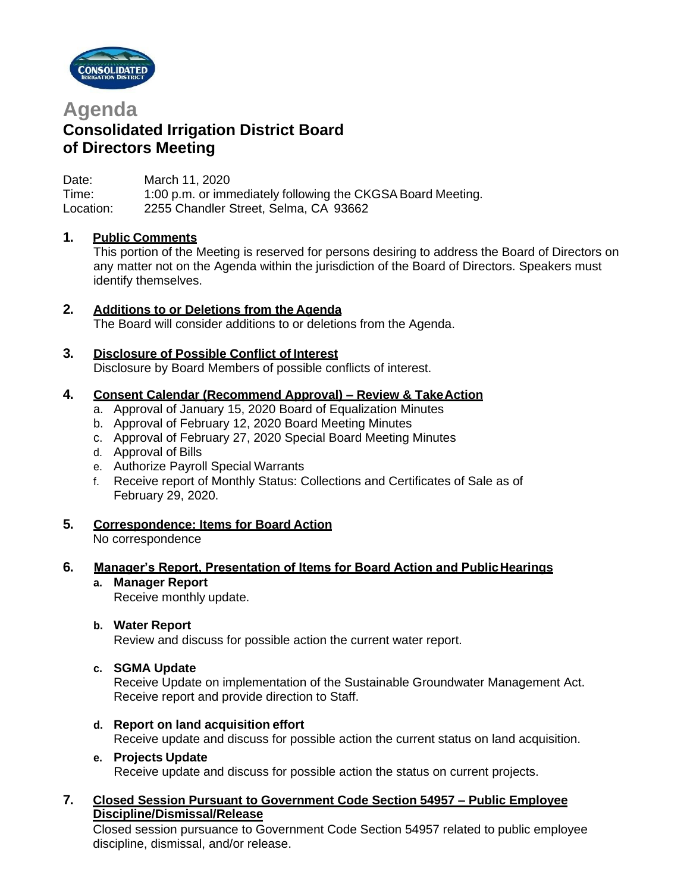



## **Consolidated Irrigation District Board of Directors Meeting**

Date: March 11, 2020 Time: 1:00 p.m. or immediately following the CKGSA Board Meeting. Location: 2255 Chandler Street, Selma, CA 93662

## **1. Public Comments**

This portion of the Meeting is reserved for persons desiring to address the Board of Directors on any matter not on the Agenda within the jurisdiction of the Board of Directors. Speakers must identify themselves.

## **2. Additions to or Deletions from the Agenda**

The Board will consider additions to or deletions from the Agenda.

## **3. Disclosure of Possible Conflict of Interest**

Disclosure by Board Members of possible conflicts of interest.

#### **4. Consent Calendar (Recommend Approval) – Review & TakeAction**

- a. Approval of January 15, 2020 Board of Equalization Minutes
- b. Approval of February 12, 2020 Board Meeting Minutes
- c. Approval of February 27, 2020 Special Board Meeting Minutes
- d. Approval of Bills
- e. Authorize Payroll Special Warrants
- f. Receive report of Monthly Status: Collections and Certificates of Sale as of February 29, 2020.
- **5. Correspondence: Items for Board Action** No correspondence

#### **6. Manager's Report, Presentation of Items for Board Action and PublicHearings**

- **a. Manager Report** Receive monthly update.
- **b. Water Report**

Review and discuss for possible action the current water report.

**c. SGMA Update**

Receive Update on implementation of the Sustainable Groundwater Management Act. Receive report and provide direction to Staff.

**d. Report on land acquisition effort**

Receive update and discuss for possible action the current status on land acquisition.

**e. Projects Update**

Receive update and discuss for possible action the status on current projects.

## **7. Closed Session Pursuant to Government Code Section 54957 – Public Employee Discipline/Dismissal/Release**

Closed session pursuance to Government Code Section 54957 related to public employee discipline, dismissal, and/or release.